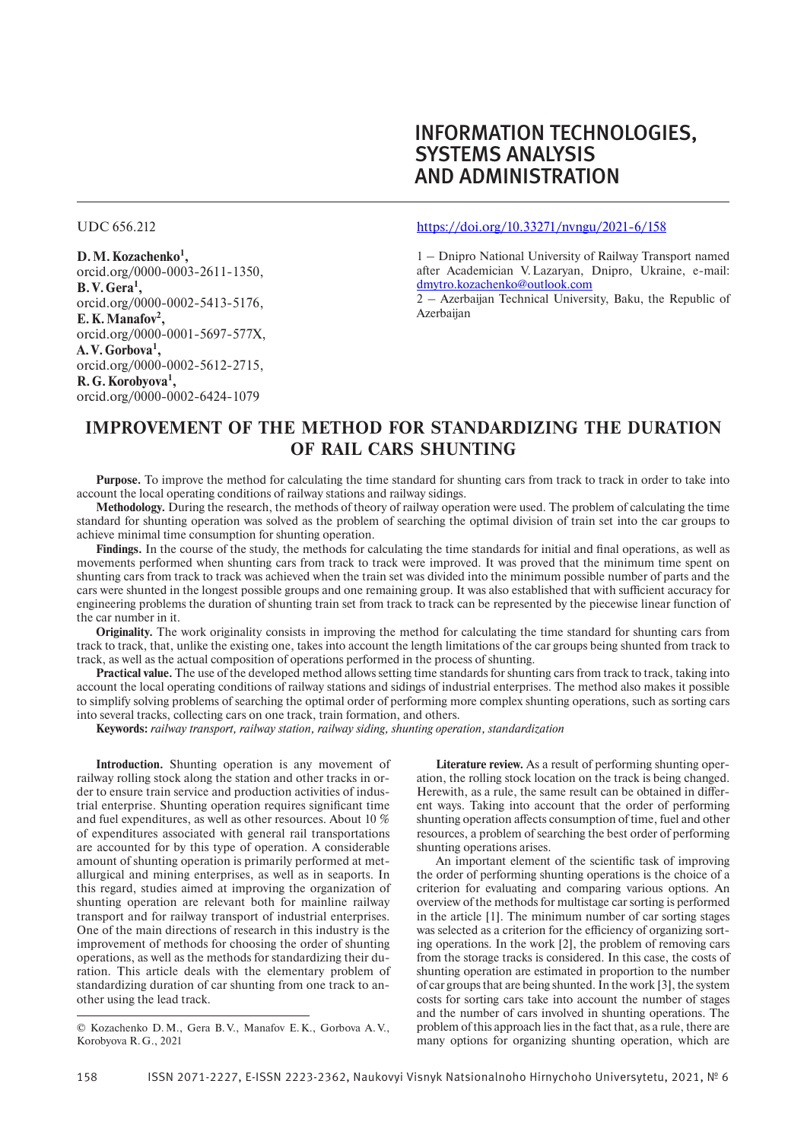# INFORMATION TECHNOLOGIES, SYSTEMS ANALYSIS AND ADMINISTRATION

**D. M. Kozachenko1 ,** orcid.org/0000-0003-2611-1350, **B. V. Gera1 ,** orcid.org/0000-0002-5413-5176, **E. K. Manafov2 ,** orcid.org/0000-0001-5697-577X, **A. V. Gorbova1 ,** orcid.org/0000-0002-5612-2715, **R. G. Korobyova1 ,** orcid.org/0000-0002-6424-1079

#### UDC 656.212 https://doi.org/10.33271/nvngu/2021-6/158

1 – Dnipro National University of Railway Transport named after Academician V. Lazaryan, Dnipro, Ukraine, e-mail: dmytro.kozachenko@outlook.com

 $2 -$  Azerbaijan Technical University, Baku, the Republic of Azerbaijan

## **IMPROVEMENT OF THE METHOD FOR STANDARDIZING THE DURATION OF RAIL CARS SHUNTING**

**Purpose.** To improve the method for calculating the time standard for shunting cars from track to track in order to take into account the local operating conditions of railway stations and railway sidings.

**Methodology.** During the research, the methods of theory of railway operation were used. The problem of calculating the time standard for shunting operation was solved as the problem of searching the optimal division of train set into the car groups to achieve minimal time consumption for shunting operation.

**Findings.** In the course of the study, the methods for calculating the time standards for initial and final operations, as well as movements performed when shunting cars from track to track were improved. It was proved that the minimum time spent on shunting cars from track to track was achieved when the train set was divided into the minimum possible number of parts and the cars were shunted in the longest possible groups and one remaining group. It was also established that with sufficient accuracy for engineering problems the duration of shunting train set from track to track can be represented by the piecewise linear function of the car number in it.

**Originality.** The work originality consists in improving the method for calculating the time standard for shunting cars from track to track, that, unlike the existing one, takes into account the length limitations of the car groups being shunted from track to track, as well as the actual composition of operations performed in the process of shunting.

**Practical value.** The use of the developed method allows setting time standards for shunting cars from track to track, taking into account the local operating conditions of railway stations and sidings of industrial enterprises. The method also makes it possible to simplify solving problems of searching the optimal order of performing more complex shunting operations, such as sorting cars into several tracks, collecting cars on one track, train formation, and others.

**Keywords:** *railway transport, railway station, railway siding, shunting operation, standardization*

**Introduction.** Shunting operation is any movement of railway rolling stock along the station and other tracks in order to ensure train service and production activities of industrial enterprise. Shunting operation requires significant time and fuel expenditures, as well as other resources. About 10 % of expenditures associated with general rail transportations are accounted for by this type of operation. A considerable amount of shunting operation is primarily performed at metallurgical and mining enterprises, as well as in seaports. In this regard, studies aimed at improving the organization of shunting operation are relevant both for mainline railway transport and for railway transport of industrial enterprises. One of the main directions of research in this industry is the improvement of methods for choosing the order of shunting operations, as well as the methods for standardizing their duration. This article deals with the elementary problem of standardizing duration of car shunting from one track to another using the lead track.

**Literature review.** As a result of performing shunting operation, the rolling stock location on the track is being changed. Herewith, as a rule, the same result can be obtained in different ways. Taking into account that the order of performing shunting operation affects consumption of time, fuel and other resources, a problem of searching the best order of performing shunting operations arises.

An important element of the scientific task of improving the order of performing shunting operations is the choice of a criterion for evaluating and comparing various options. An overview of the methods for multistage car sorting is performed in the article [1]. The minimum number of car sorting stages was selected as a criterion for the efficiency of organizing sorting operations. In the work [2], the problem of removing cars from the storage tracks is considered. In this case, the costs of shunting operation are estimated in proportion to the number of car groups that are being shunted. In the work [3], the system costs for sorting cars take into account the number of stages and the number of cars involved in shunting operations. The problem of this approach lies in the fact that, as a rule, there are many options for organizing shunting operation, which are

<sup>©</sup> Kozachenko D. M., Gera B. V., Manafov E. K., Gorbova A. V., Korobyova R. G., 2021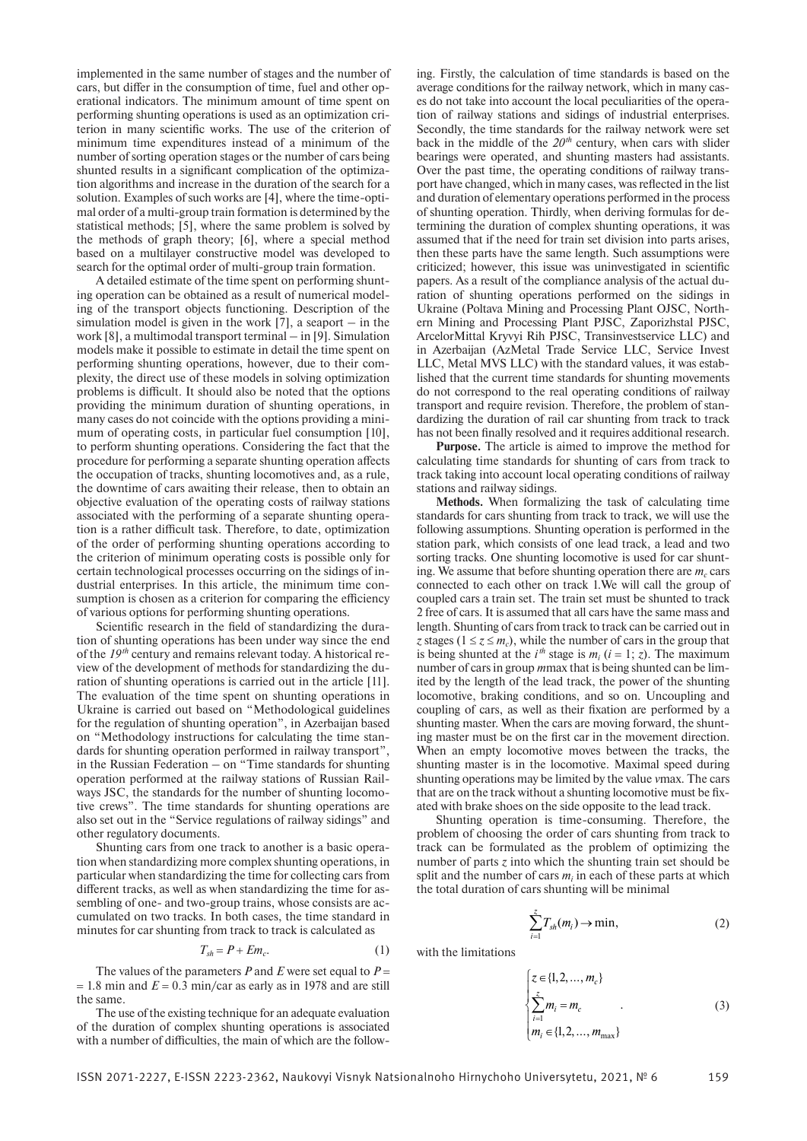implemented in the same number of stages and the number of cars, but differ in the consumption of time, fuel and other operational indicators. The minimum amount of time spent on performing shunting operations is used as an optimization criterion in many scientific works. The use of the criterion of minimum time expenditures instead of a minimum of the number of sorting operation stages or the number of cars being shunted results in a significant complication of the optimization algorithms and increase in the duration of the search for a solution. Examples of such works are [4], where the time-optimal order of a multi-group train formation is determined by the statistical methods; [5], where the same problem is solved by the methods of graph theory; [6], where a special method based on a multilayer constructive model was developed to search for the optimal order of multi-group train formation.

A detailed estimate of the time spent on performing shunting operation can be obtained as a result of numerical modeling of the transport objects functioning. Description of the simulation model is given in the work  $[7]$ , a seaport – in the work [8], a multimodal transport terminal – in [9]. Simulation models make it possible to estimate in detail the time spent on performing shunting operations, however, due to their complexity, the direct use of these models in solving optimization problems is difficult. It should also be noted that the options providing the minimum duration of shunting operations, in many cases do not coincide with the options providing a minimum of operating costs, in particular fuel consumption [10], to perform shunting operations. Considering the fact that the procedure for performing a separate shunting operation affects the occupation of tracks, shunting locomotives and, as a rule, the downtime of cars awaiting their release, then to obtain an objective evaluation of the operating costs of railway stations associated with the performing of a separate shunting operation is a rather difficult task. Therefore, to date, optimization of the order of performing shunting operations according to the criterion of minimum operating costs is possible only for certain technological processes occurring on the sidings of industrial enterprises. In this article, the minimum time consumption is chosen as a criterion for comparing the efficiency of various options for performing shunting operations.

Scientific research in the field of standardizing the duration of shunting operations has been under way since the end of the *19 th* century and remains relevant today. A historical review of the development of methods for standardizing the duration of shunting operations is carried out in the article [11]. The evaluation of the time spent on shunting operations in Ukraine is carried out based on "Methodological guidelines for the regulation of shunting operation", in Azerbaijan based on "Methodology instructions for calculating the time standards for shunting operation performed in railway transport", in the Russian Federation – on "Time standards for shunting operation performed at the railway stations of Russian Railways JSC, the standards for the number of shunting locomotive crews". The time standards for shunting operations are also set out in the "Service regulations of railway sidings" and other regulatory documents.

Shunting cars from one track to another is a basic operation when standardizing more complex shunting operations, in particular when standardizing the time for collecting cars from different tracks, as well as when standardizing the time for assembling of one- and two-group trains, whose consists are accumulated on two tracks. In both cases, the time standard in minutes for car shunting from track to track is calculated as

$$
T_{sh} = P + Em_c.
$$
 (1)

The values of the parameters *P* and *E* were set equal to  $P =$  $= 1.8$  min and  $E = 0.3$  min/car as early as in 1978 and are still the same.

The use of the existing technique for an adequate evaluation of the duration of complex shunting operations is associated with a number of difficulties, the main of which are the follow-

ing. Firstly, the calculation of time standards is based on the average conditions for the railway network, which in many cases do not take into account the local peculiarities of the operation of railway stations and sidings of industrial enterprises. Secondly, the time standards for the railway network were set back in the middle of the  $20<sup>th</sup>$  century, when cars with slider bearings were operated, and shunting masters had assistants. Over the past time, the operating conditions of railway transport have changed, which in many cases, was reflected in the list and duration of elementary operations performed in the process of shunting operation. Thirdly, when deriving formulas for determining the duration of complex shunting operations, it was assumed that if the need for train set division into parts arises, then these parts have the same length. Such assumptions were criticized; however, this issue was uninvestigated in scientific papers. As a result of the compliance analysis of the actual duration of shunting operations performed on the sidings in Ukraine (Poltava Mining and Processing Plant OJSC, Northern Mining and Processing Plant PJSC, Zaporizhstal PJSC, ArcelorMittal Kryvyi Rih PJSC, Transinvestservice LLC) and in Azerbaijan (AzMetal Trade Service LLC, Service Invest LLC, Metal MVS LLC) with the standard values, it was established that the current time standards for shunting movements do not correspond to the real operating conditions of railway transport and require revision. Therefore, the problem of standardizing the duration of rail car shunting from track to track has not been finally resolved and it requires additional research.

**Purpose.** The article is aimed to improve the method for calculating time standards for shunting of cars from track to track taking into account local operating conditions of railway stations and railway sidings.

**Methods.** When formalizing the task of calculating time standards for cars shunting from track to track, we will use the following assumptions. Shunting operation is performed in the station park, which consists of one lead track, a lead and two sorting tracks. One shunting locomotive is used for car shunting. We assume that before shunting operation there are  $m_c$  cars connected to each other on track 1.We will call the group of coupled cars a train set. The train set must be shunted to track 2 free of cars. It is assumed that all cars have the same mass and length. Shunting of cars from track to track can be carried out in *z* stages ( $1 \le z \le m_c$ ), while the number of cars in the group that is being shunted at the  $i^{th}$  stage is  $m_i$  ( $i = 1$ ; *z*). The maximum number of cars in group *m*max that is being shunted can be limited by the length of the lead track, the power of the shunting locomotive, braking conditions, and so on. Uncoupling and coupling of cars, as well as their fixation are performed by a shunting master. When the cars are moving forward, the shunting master must be on the first car in the movement direction. When an empty locomotive moves between the tracks, the shunting master is in the locomotive. Maximal speed during shunting operations may be limited by the value *v*max. The cars that are on the track without a shunting locomotive must be fixated with brake shoes on the side opposite to the lead track.

Shunting operation is time-consuming. Therefore, the problem of choosing the order of cars shunting from track to track can be formulated as the problem of optimizing the number of parts  $\zeta$  into which the shunting train set should be split and the number of cars  $m_i$  in each of these parts at which the total duration of cars shunting will be minimal

$$
\sum_{i=1}^{z} T_{sh}(m_i) \to \min, \tag{2}
$$

with the limitations

$$
\begin{cases} z \in \{1, 2, ..., m_c\} \\ \sum_{i=1}^{z} m_i = m_c \\ m_i \in \{1, 2, ..., m_{\text{max}}\} \end{cases}
$$
 (3)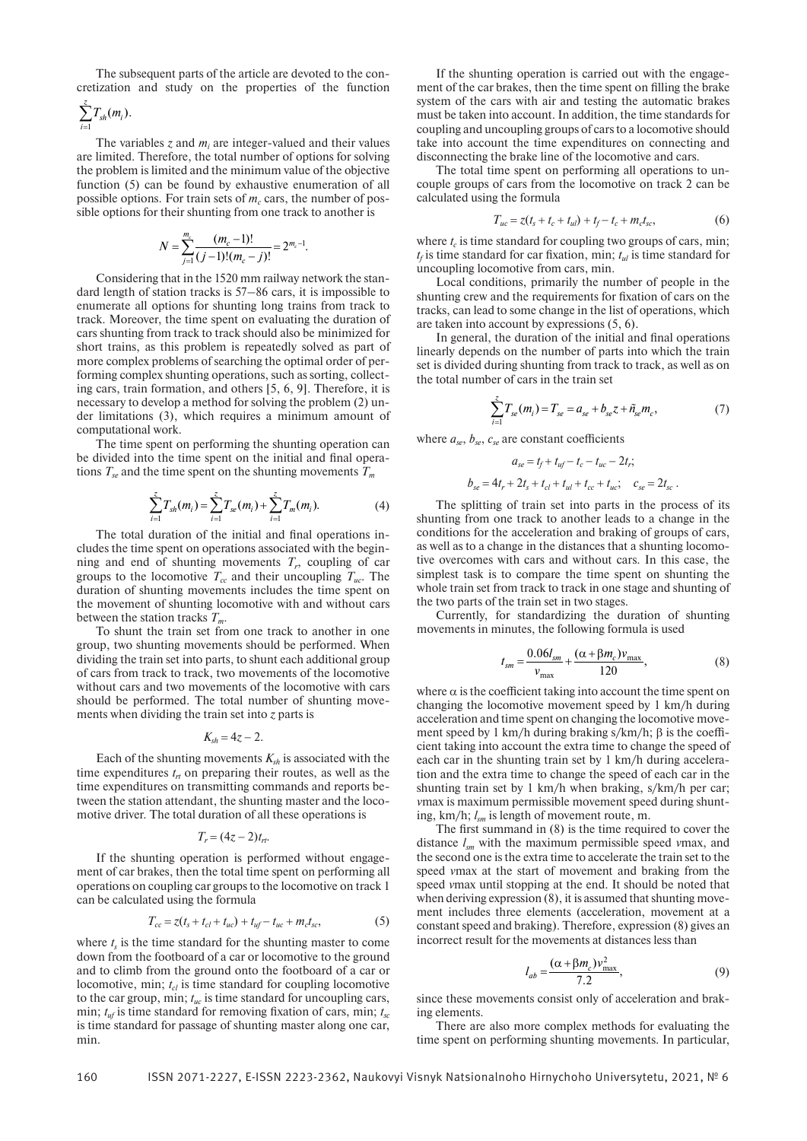The subsequent parts of the article are devoted to the concretization and study on the properties of the function

$$
\sum_{i=1}^z T_{sh}(m_i).
$$

The variables  $z$  and  $m_i$  are integer-valued and their values are limited. Therefore, the total number of options for solving the problem is limited and the minimum value of the objective function (5) can be found by exhaustive enumeration of all possible options. For train sets of  $m_c$  cars, the number of possible options for their shunting from one track to another is

$$
N = \sum_{j=1}^{m_c} \frac{(m_c - 1)!}{(j-1)!(m_c - j)!} = 2^{m_c - 1}.
$$

Considering that in the 1520 mm railway network the standard length of station tracks is 57–86 cars, it is impossible to enumerate all options for shunting long trains from track to track. Moreover, the time spent on evaluating the duration of cars shunting from track to track should also be minimized for short trains, as this problem is repeatedly solved as part of more complex problems of searching the optimal order of performing complex shunting operations, such as sorting, collecting cars, train formation, and others [5, 6, 9]. Therefore, it is necessary to develop a method for solving the problem (2) under limitations (3), which requires a minimum amount of computational work.

The time spent on performing the shunting operation can be divided into the time spent on the initial and final operations  $T_{\varphi}$  and the time spent on the shunting movements  $T_{\varphi}$ 

$$
\sum_{i=1}^{z} T_{sh}(m_i) = \sum_{i=1}^{z} T_{se}(m_i) + \sum_{i=1}^{z} T_m(m_i).
$$
 (4)

The total duration of the initial and final operations includes the time spent on operations associated with the beginning and end of shunting movements  $T_r$ , coupling of car groups to the locomotive  $T_{cc}$  and their uncoupling  $T_{uc}$ . The duration of shunting movements includes the time spent on the movement of shunting locomotive with and without cars between the station tracks  $T_m$ .

To shunt the train set from one track to another in one group, two shunting movements should be performed. When dividing the train set into parts, to shunt each additional group of cars from track to track, two movements of the locomotive without cars and two movements of the locomotive with cars should be performed. The total number of shunting movements when dividing the train set into *z* parts is

$$
K_{sh}=4z-2.
$$

Each of the shunting movements  $K_{sh}$  is associated with the time expenditures  $t_{rt}$  on preparing their routes, as well as the time expenditures on transmitting commands and reports between the station attendant, the shunting master and the locomotive driver. The total duration of all these operations is

$$
T_r = (4z - 2)t_n.
$$

If the shunting operation is performed without engagement of car brakes, then the total time spent on performing all operations on coupling car groups to the locomotive on track 1 can be calculated using the formula

$$
T_{cc} = z(t_s + t_{cl} + t_{uc}) + t_{uf} - t_{uc} + m_c t_{sc},
$$
 (5)

where  $t<sub>s</sub>$  is the time standard for the shunting master to come down from the footboard of a car or locomotive to the ground and to climb from the ground onto the footboard of a car or locomotive, min;  $t_{cl}$  is time standard for coupling locomotive to the car group, min; *tuc* is time standard for uncoupling cars, min;  $t_{\text{uf}}$  is time standard for removing fixation of cars, min;  $t_{\text{sr}}$ is time standard for passage of shunting master along one car, min.

If the shunting operation is carried out with the engagement of the car brakes, then the time spent on filling the brake system of the cars with air and testing the automatic brakes must be taken into account. In addition, the time standards for coupling and uncoupling groups of cars to a locomotive should take into account the time expenditures on connecting and disconnecting the brake line of the locomotive and cars.

The total time spent on performing all operations to uncouple groups of cars from the locomotive on track 2 can be calculated using the formula

$$
T_{uc} = z(t_s + t_c + t_{ul}) + t_f - t_c + m_c t_{sc},
$$
\n(6)

where  $t_c$  is time standard for coupling two groups of cars, min;  $t_f$  is time standard for car fixation, min;  $t_{ul}$  is time standard for uncoupling locomotive from cars, min.

Local conditions, primarily the number of people in the shunting crew and the requirements for fixation of cars on the tracks, can lead to some change in the list of operations, which are taken into account by expressions (5, 6).

In general, the duration of the initial and final operations linearly depends on the number of parts into which the train set is divided during shunting from track to track, as well as on the total number of cars in the train set

$$
\sum_{i=1}^{z} T_{se}(m_i) = T_{se} = a_{se} + b_{se}z + \tilde{n}_{se}m_c,
$$
\n(7)

where  $a_{se}$ ,  $b_{se}$ ,  $c_{se}$  are constant coefficients

$$
a_{se} = t_f + t_{uf} - t_c - t_{uc} - 2t_r;
$$
  

$$
b_{se} = 4t_r + 2t_s + t_{cl} + t_{ul} + t_{cc} + t_{uc}; \quad c_{se} = 2t_{sc}.
$$

The splitting of train set into parts in the process of its shunting from one track to another leads to a change in the conditions for the acceleration and braking of groups of cars, as well as to a change in the distances that a shunting locomotive overcomes with cars and without cars. In this case, the simplest task is to compare the time spent on shunting the whole train set from track to track in one stage and shunting of the two parts of the train set in two stages.

Currently, for standardizing the duration of shunting movements in minutes, the following formula is used

$$
t_{sm} = \frac{0.06l_{sm}}{v_{\text{max}}} + \frac{(\alpha + \beta m_c)v_{\text{max}}}{120},\tag{8}
$$

where  $\alpha$  is the coefficient taking into account the time spent on changing the locomotive movement speed by 1 km/h during acceleration and time spent on changing the locomotive movement speed by 1 km/h during braking s/km/h;  $\beta$  is the coefficient taking into account the extra time to change the speed of each car in the shunting train set by 1 km/h during acceleration and the extra time to change the speed of each car in the shunting train set by 1 km/h when braking, s/km/h per car; *v*max is maximum permissible movement speed during shunting, km/h; *lsm* is length of movement route, m.

The first summand in  $(8)$  is the time required to cover the distance *lsm* with the maximum permissible speed *v*max, and the second one is the extra time to accelerate the train set to the speed *v*max at the start of movement and braking from the speed *v*max until stopping at the end. It should be noted that when deriving expression (8), it is assumed that shunting movement includes three elements (acceleration, movement at a constant speed and braking). Therefore, expression (8) gives an incorrect result for the movements at distances less than

$$
l_{ab} = \frac{(\alpha + \beta m_c)v_{\text{max}}^2}{7.2},\tag{9}
$$

since these movements consist only of acceleration and braking elements.

There are also more complex methods for evaluating the time spent on performing shunting movements. In particular,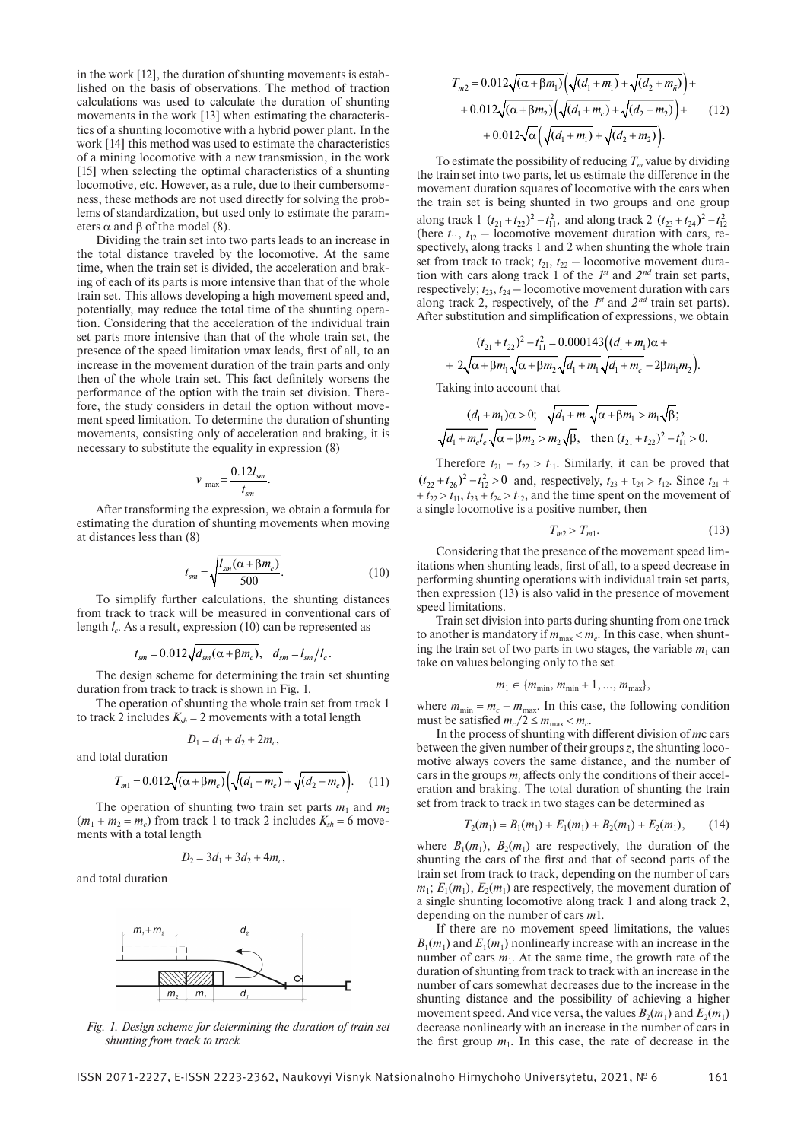in the work [12], the duration of shunting movements is established on the basis of observations. The method of traction calculations was used to calculate the duration of shunting movements in the work [13] when estimating the characteristics of a shunting locomotive with a hybrid power plant. In the work [14] this method was used to estimate the characteristics of a mining locomotive with a new transmission, in the work [15] when selecting the optimal characteristics of a shunting locomotive, etc. However, as a rule, due to their cumbersomeness, these methods are not used directly for solving the problems of standardization, but used only to estimate the parameters  $\alpha$  and  $\beta$  of the model (8).

Dividing the train set into two parts leads to an increase in the total distance traveled by the locomotive. At the same time, when the train set is divided, the acceleration and braking of each of its parts is more intensive than that of the whole train set. This allows developing a high movement speed and, potentially, may reduce the total time of the shunting operation. Considering that the acceleration of the individual train set parts more intensive than that of the whole train set, the presence of the speed limitation *vmax* leads, first of all, to an increase in the movement duration of the train parts and only then of the whole train set. This fact definitely worsens the performance of the option with the train set division. Therefore, the study considers in detail the option without movement speed limitation. To determine the duration of shunting movements, consisting only of acceleration and braking, it is necessary to substitute the equality in expression (8)

$$
v_{\text{max}} = \frac{0.12l_{\text{sm}}}{t_{\text{sm}}}.
$$

After transforming the expression, we obtain a formula for estimating the duration of shunting movements when moving at distances less than (8)

$$
t_{sm} = \sqrt{\frac{l_{sm}(\alpha + \beta m_c)}{500}}.\tag{10}
$$

To simplify further calculations, the shunting distances from track to track will be measured in conventional cars of length *l<sub>c</sub>*. As a result, expression (10) can be represented as

$$
t_{sm} = 0.012\sqrt{d_{sm}(\alpha + \beta m_c)}, \quad d_{sm} = l_{sm}/l_c.
$$

The design scheme for determining the train set shunting duration from track to track is shown in Fig. 1.

The operation of shunting the whole train set from track 1 to track 2 includes  $K_{sh} = 2$  movements with a total length

$$
D_1 = d_1 + d_2 + 2m_c,
$$

and total duration

$$
T_{m1} = 0.012\sqrt{(\alpha + \beta m_c)} \left( \sqrt{(d_1 + m_c)} + \sqrt{(d_2 + m_c)} \right). \quad (11)
$$

The operation of shunting two train set parts  $m_1$  and  $m_2$  $(m_1 + m_2 = m_c)$  from track 1 to track 2 includes  $K_{sh} = 6$  movements with a total length

$$
D_2 = 3d_1 + 3d_2 + 4m_c,
$$

and total duration



*Fig. 1. Design scheme for determining the duration of train set shunting from track to track*

$$
T_{m2} = 0.012\sqrt{(\alpha + \beta m_1)} \left( \sqrt{(d_1 + m_1)} + \sqrt{(d_2 + m_{\tilde{n}})} \right) +
$$
  
+ 0.012\sqrt{(\alpha + \beta m\_2)} \left( \sqrt{(d\_1 + m\_c)} + \sqrt{(d\_2 + m\_2)} \right) +  
+ 0.012\sqrt{\alpha} \left( \sqrt{(d\_1 + m\_1)} + \sqrt{(d\_2 + m\_2)} \right). (12)

To estimate the possibility of reducing  $T_m$  value by dividing the train set into two parts, let us estimate the difference in the movement duration squares of locomotive with the cars when the train set is being shunted in two groups and one group along track 1  $(t_{21} + t_{22})^2 - t_{11}^2$ , and along track 2  $(t_{23} + t_{24})^2 - t_{12}^2$ (here  $t_{11}$ ,  $t_{12}$  – locomotive movement duration with cars, respectively, along tracks 1 and 2 when shunting the whole train set from track to track;  $t_{21}$ ,  $t_{22}$  – locomotive movement duration with cars along track 1 of the  $I<sup>st</sup>$  and  $2<sup>nd</sup>$  train set parts, respectively;  $t_{23}$ ,  $t_{24}$  – locomotive movement duration with cars along track 2, respectively, of the *1st* and *2 nd* train set parts). After substitution and simplification of expressions, we obtain

$$
(t_{21}+t_{22})^2 - t_{11}^2 = 0.000143((d_1+m_1)\alpha + 2\sqrt{\alpha + \beta m_1}\sqrt{\alpha + \beta m_2}\sqrt{d_1+m_1}\sqrt{d_1+m_c} - 2\beta m_1m_2).
$$

Taking into account that

$$
\frac{(d_1 + m_1)\alpha > 0; \sqrt{d_1 + m_1}\sqrt{\alpha + \beta m_1} > m_1\sqrt{\beta}}{\sqrt{d_1 + m_c l_c}\sqrt{\alpha + \beta m_2} > m_2\sqrt{\beta}, \quad \text{then } (t_{21} + t_{22})^2 - t_{11}^2 > 0.
$$

Therefore  $t_{21} + t_{22} > t_{11}$ . Similarly, it can be proved that  $(t_{22} + t_{26})^2 - t_{12}^2 > 0$  and, respectively,  $t_{23} + t_{24} > t_{12}$ . Since  $t_{21}$  +  $t_{22} > t_{11}$ ,  $t_{23} + t_{24} > t_{12}$ , and the time spent on the movement of a single locomotive is a positive number, then

$$
T_{m2} > T_{m1}.\tag{13}
$$

Considering that the presence of the movement speed limitations when shunting leads, first of all, to a speed decrease in performing shunting operations with individual train set parts, then expression (13) is also valid in the presence of movement speed limitations.

Train set division into parts during shunting from one track to another is mandatory if  $m_{\text{max}} < m_c$ . In this case, when shunting the train set of two parts in two stages, the variable  $m_1$  can take on values belonging only to the set

$$
m_1 \in \{m_{\min}, m_{\min}+1, ..., m_{\max}\},\
$$

where  $m_{\text{min}} = m_c - m_{\text{max}}$ . In this case, the following condition must be satisfied  $m_c/2 \le m_{\text{max}} < m_c$ .

In the process of shunting with different division of *mc* cars between the given number of their groups *z*, the shunting locomotive always covers the same distance, and the number of cars in the groups  $m_i$  affects only the conditions of their acceleration and braking. The total duration of shunting the train set from track to track in two stages can be determined as

$$
T_2(m_1) = B_1(m_1) + E_1(m_1) + B_2(m_1) + E_2(m_1), \qquad (14)
$$

where  $B_1(m_1)$ ,  $B_2(m_1)$  are respectively, the duration of the shunting the cars of the first and that of second parts of the train set from track to track, depending on the number of cars  $m_1$ ;  $E_1(m_1)$ ,  $E_2(m_1)$  are respectively, the movement duration of a single shunting locomotive along track 1 and along track 2, depending on the number of cars *m*1.

If there are no movement speed limitations, the values  $B_1(m_1)$  and  $E_1(m_1)$  nonlinearly increase with an increase in the number of cars  $m_1$ . At the same time, the growth rate of the duration of shunting from track to track with an increase in the number of cars somewhat decreases due to the increase in the shunting distance and the possibility of achieving a higher movement speed. And vice versa, the values  $B_2(m_1)$  and  $E_2(m_1)$ decrease nonlinearly with an increase in the number of cars in the first group  $m_1$ . In this case, the rate of decrease in the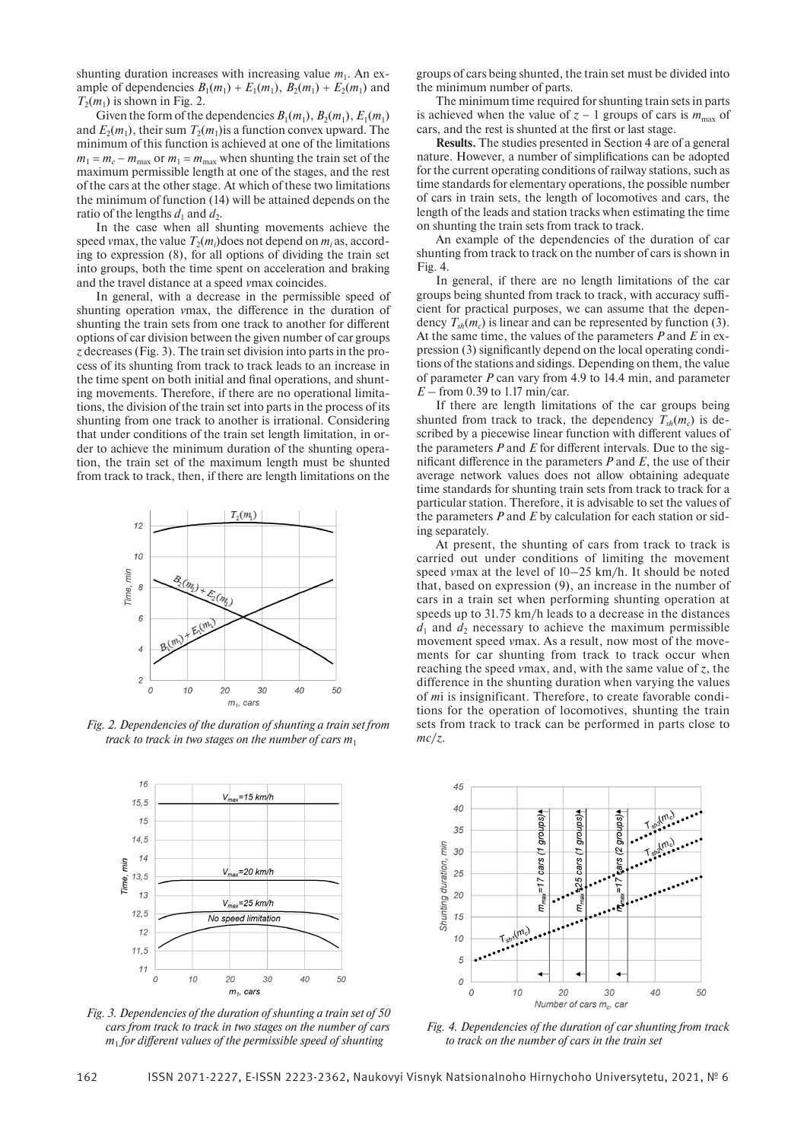shunting duration increases with increasing value  $m_1$ . An example of dependencies  $B_1(m_1) + E_1(m_1), B_2(m_1) + E_2(m_1)$  and  $T_2(m_1)$  is shown in Fig. 2.

Given the form of the dependencies  $B_1(m_1), B_2(m_1), E_1(m_1)$ and  $E_2(m_1)$ , their sum  $T_2(m_1)$  is a function convex upward. The minimum of this function is achieved at one of the limitations  $m_1 = m_c - m_{\text{max}}$  or  $m_1 = m_{\text{max}}$  when shunting the train set of the maximum permissible length at one of the stages, and the rest of the cars at the other stage. At which of these two limitations the minimum of function (14) will be attained depends on the ratio of the lengths  $d_1$  and  $d_2$ .

In the case when all shunting movements achieve the speed *v*max, the value  $T_2(m_i)$  does not depend on  $m_i$  as, according to expression (8), for all options of dividing the train set into groups, both the time spent on acceleration and braking and the travel distance at a speed *v*max coincides.

In general, with a decrease in the permissible speed of shunting operation *vmax*, the difference in the duration of shunting the train sets from one track to another for different options of car division between the given number of car groups *z* decreases (Fig. 3). The train set division into parts in the process of its shunting from track to track leads to an increase in the time spent on both initial and final operations, and shunting movements. Therefore, if there are no operational limitations, the division of the train set into parts in the process of its shunting from one track to another is irrational. Considering that under conditions of the train set length limitation, in order to achieve the minimum duration of the shunting operation, the train set of the maximum length must be shunted from track to track, then, if there are length limitations on the



*Fig. 2. Dependencies of the duration of shunting a train set from track to track in two stages on the number of cars m*<sup>1</sup>



*Fig. 3. Dependencies of the duration of shunting a train set of 50 cars from track to track in two stages on the number of cars*   $m<sub>1</sub>$  *for different values of the permissible speed of shunting* 

groups of cars being shunted, the train set must be divided into the minimum number of parts.

The minimum time required for shunting train sets in parts is achieved when the value of  $z - 1$  groups of cars is  $m_{\text{max}}$  of cars, and the rest is shunted at the first or last stage.

**Results.** The studies presented in Section 4 are of a general nature. However, a number of simplifications can be adopted for the current operating conditions of railway stations, such as time standards for elementary operations, the possible number of cars in train sets, the length of locomotives and cars, the length of the leads and station tracks when estimating the time on shunting the train sets from track to track.

An example of the dependencies of the duration of car shunting from track to track on the number of cars is shown in Fig. 4.

In general, if there are no length limitations of the car groups being shunted from track to track, with accuracy sufficient for practical purposes, we can assume that the dependency  $T_{sh}(m_c)$  is linear and can be represented by function (3). At the same time, the values of the parameters *P* and *E* in expression (3) significantly depend on the local operating conditions of the stations and sidings. Depending on them, the value of parameter *P* can vary from 4.9 to 14.4 min, and parameter *E* – from 0.39 to 1.17 min/car.

If there are length limitations of the car groups being shunted from track to track, the dependency  $T_{sh}(m_c)$  is described by a piecewise linear function with different values of the parameters  $P$  and  $E$  for different intervals. Due to the significant difference in the parameters  $P$  and  $E$ , the use of their average network values does not allow obtaining adequate time standards for shunting train sets from track to track for a particular station. Therefore, it is advisable to set the values of the parameters *P* and *E* by calculation for each station or siding separately.

At present, the shunting of cars from track to track is carried out under conditions of limiting the movement speed *v*max at the level of 10–25 km/h. It should be noted that, based on expression (9), an increase in the number of cars in a train set when performing shunting operation at speeds up to 31.75 km/h leads to a decrease in the distances  $d_1$  and  $d_2$  necessary to achieve the maximum permissible movement speed *v*max. As a result, now most of the movements for car shunting from track to track occur when reaching the speed *v*max, and, with the same value of *z*, the difference in the shunting duration when varying the values of *m*i is insignificant. Therefore, to create favorable conditions for the operation of locomotives, shunting the train sets from track to track can be performed in parts close to *mc*/*z*.



*Fig. 4. Dependencies of the duration of car shunting from track to track on the number of cars in the train set*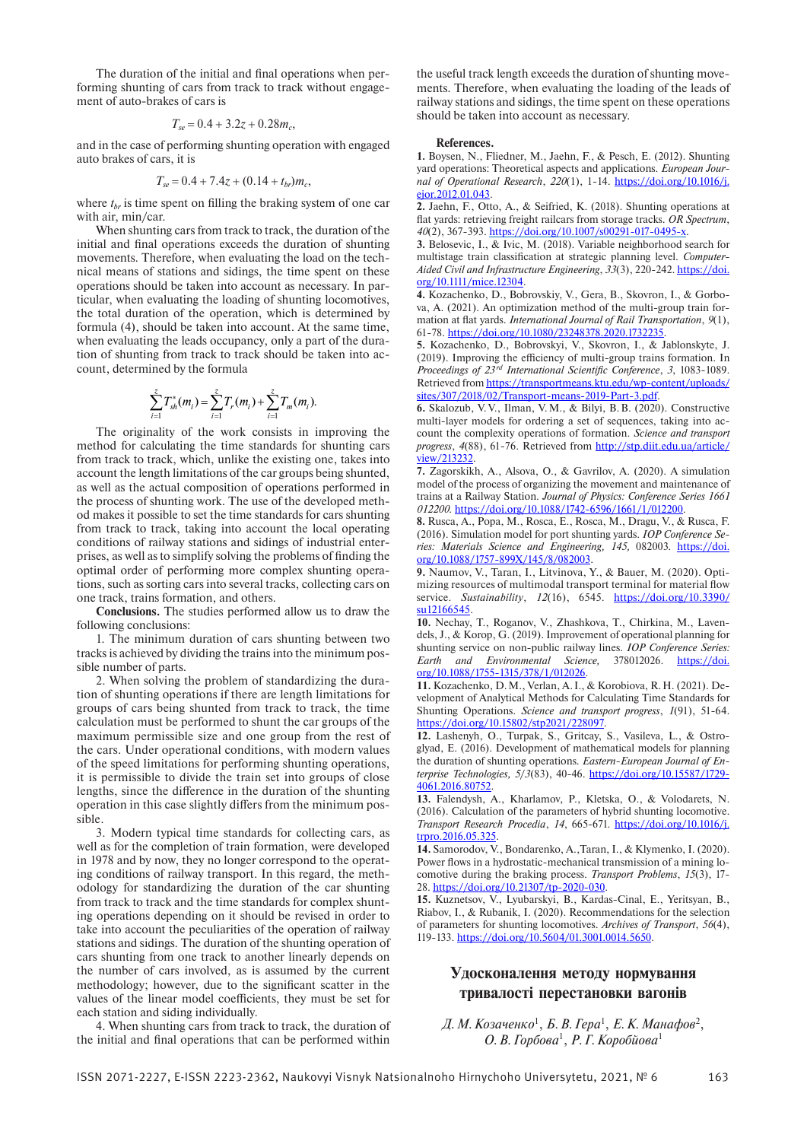The duration of the initial and final operations when performing shunting of cars from track to track without engagement of auto-brakes of cars is

$$
T_{se} = 0.4 + 3.2z + 0.28m_c,
$$

and in the case of performing shunting operation with engaged auto brakes of cars, it is

$$
T_{se} = 0.4 + 7.4z + (0.14 + t_{br})m_c,
$$

where  $t_{br}$  is time spent on filling the braking system of one car with air, min/car.

When shunting cars from track to track, the duration of the initial and final operations exceeds the duration of shunting movements. Therefore, when evaluating the load on the technical means of stations and sidings, the time spent on these operations should be taken into account as necessary. In particular, when evaluating the loading of shunting locomotives, the total duration of the operation, which is determined by formula (4), should be taken into account. At the same time, when evaluating the leads occupancy, only a part of the duration of shunting from track to track should be taken into account, determined by the formula

$$
\sum_{i=1}^{z} T_{sh}^{*}(m_{i}) = \sum_{i=1}^{z} T_{r}(m_{i}) + \sum_{i=1}^{z} T_{m}(m_{i}).
$$

The originality of the work consists in improving the method for calculating the time standards for shunting cars from track to track, which, unlike the existing one, takes into account the length limitations of the car groups being shunted, as well as the actual composition of operations performed in the process of shunting work. The use of the developed method makes it possible to set the time standards for cars shunting from track to track, taking into account the local operating conditions of railway stations and sidings of industrial enterprises, as well as to simplify solving the problems of finding the optimal order of performing more complex shunting operations, such as sorting cars into several tracks, collecting cars on one track, trains formation, and others.

**Conclusions.** The studies performed allow us to draw the following conclusions:

1. The minimum duration of cars shunting between two tracks is achieved by dividing the trains into the minimum possible number of parts.

2. When solving the problem of standardizing the duration of shunting operations if there are length limitations for groups of cars being shunted from track to track, the time calculation must be performed to shunt the car groups of the maximum permissible size and one group from the rest of the cars. Under operational conditions, with modern values of the speed limitations for performing shunting operations, it is permissible to divide the train set into groups of close lengths, since the difference in the duration of the shunting operation in this case slightly differs from the minimum possible.

3. Modern typical time standards for collecting cars, as well as for the completion of train formation, were developed in 1978 and by now, they no longer correspond to the operating conditions of railway transport. In this regard, the methodology for standardizing the duration of the car shunting from track to track and the time standards for complex shunting operations depending on it should be revised in order to take into account the peculiarities of the operation of railway stations and sidings. The duration of the shunting operation of cars shunting from one track to another linearly depends on the number of cars involved, as is assumed by the current methodology; however, due to the significant scatter in the values of the linear model coefficients, they must be set for each station and siding individually.

4. When shunting cars from track to track, the duration of the initial and final operations that can be performed within

the useful track length exceeds the duration of shunting movements. Therefore, when evaluating the loading of the leads of railway stations and sidings, the time spent on these operations should be taken into account as necessary.

#### **References.**

**1.** Boysen, N., Fliedner, M., Jaehn, F., & Pesch, E. (2012). Shunting yard operations: Theoretical aspects and applications. *European Journal of Operational Research*, *220*(1), 1-14. https://doi.org/10.1016/j. ejor.2012.01.043.

**2.** Jaehn, F., Otto, A., & Seifried, K. (2018). Shunting operations at flat yards: retrieving freight railcars from storage tracks. OR Spectrum, *40*(2), 367-393. https://doi.org/10.1007/s00291-017-0495-x.

**3.** Belosevic, I., & Ivic, M. (2018). Variable neighborhood search for multistage train classification at strategic planning level. *Computer-Aided Civil and Infrastructure Engineering*, *33*(3), 220-242. https://doi. org/10.1111/mice.12304.

**4.** Kozachenko, D., Bobrovskiy, V., Gera, B., Skovron, I., & Gorbova, A. (2021). An optimization method of the multi-group train formation at flat yards. *International Journal of Rail Transportation*,  $9(1)$ , 61-78. https://doi.org/10.1080/23248378.2020.1732235.

**5.** Kozachenko, D., Bobrovskyi, V., Skovron, I., & Jablonskyte, J.  $(2019)$ . Improving the efficiency of multi-group trains formation. In *Proceedings of 23<sup>rd</sup> International Scientific Conference*, 3, 1083-1089. Retrieved from https://transportmeans.ktu.edu/wp-content/uploads/ sites/307/2018/02/Transport-means-2019-Part-3.pdf.

**6.** Skalozub, V. V., Ilman, V. M., & Bilyi, B. B. (2020). Constructive multi-layer models for ordering a set of sequences, taking into account the complexity operations of formation. *Science and transport progress*, *4*(88), 61-76. Retrieved from http://stp.diit.edu.ua/article/ view/213232.

**7.** Zagorskikh, A., Alsova, O., & Gavrilov, A. (2020). A simulation model of the process of organizing the movement and maintenance of trains at a Railway Station. *Journal of Physics: Conference Series 1661 012200.* https://doi.org/10.1088/1742-6596/1661/1/012200.

**8.** Rusca, A., Popa, M., Rosca, E., Rosca, M., Dragu, V., & Rusca, F. (2016). Simulation model for port shunting yards. *IOP Conference Series: Materials Science and Engineering, 145,* 082003*.* https://doi. org/10.1088/1757-899X/145/8/082003.

**9.** Naumov, V., Taran, I., Litvinova, Y., & Bauer, M. (2020). Optimizing resources of multimodal transport terminal for material flow service. *Sustainability*, *12*(16), 6545. https://doi.org/10.3390/ su12166545.

**10.** Nechay, T., Roganov, V., Zhashkova, T., Chirkina, M., Lavendels, J., & Korop, G. (2019). Improvement of operational planning for shunting service on non-public railway lines. *IOP Conference Series: Earth and Environmental Science,* 378012026. https://doi. org/10.1088/1755-1315/378/1/012026.

**11.** Kozachenko, D. M., Verlan, A. I., & Korobiova, R. H. (2021). Development of Analytical Methods for Calculating Time Standards for Shunting Operations. *Science and transport progress*, *1*(91), 51-64. https://doi.org/10.15802/stp2021/228097.

**12.** Lashenyh, O., Turpak, S., Gritcay, S., Vasileva, L., & Ostroglyad, E. (2016). Development of mathematical models for planning the duration of shunting operations. *Eastern-European Journal of Enterprise Technologies, 5*/*3*(83), 40-46. https://doi.org/10.15587/1729- 4061.2016.80752.

**13.** Falendysh, A., Kharlamov, P., Kletska, O., & Volodarets, N. (2016). Calculation of the parameters of hybrid shunting locomotive. *Transport Research Procedia*, *14*, 665-671. https://doi.org/10.1016/j. trpro.2016.05.325

**14.** Samorodov, V., Bondarenko, A.,Taran, I., & Klymenko, I. (2020). Power flows in a hydrostatic-mechanical transmission of a mining locomotive during the braking process. *Transport Problems*, *15*(3), 17- 28. https://doi.org/10.21307/tp-2020-030.

**15.** Kuznetsov, V., Lyubarskyi, B., Kardas-Cinal, E., Yeritsyan, B., Riabov, I., & Rubanik, I. (2020). Recommendations for the selection of parameters for shunting locomotives. *Archives of Transport*, *56*(4), 119-133. https://doi.org/10.5604/01.3001.0014.5650.

### **Удосконалення методу нормування тривалості перестановки вагонів**

Д. М. Козаченко<sup>1</sup>, Б. В. Гера<sup>1</sup>, Е. К. Манафов<sup>2</sup>, *О. В. Горбова*<sup>1</sup> , *Р. Г. Коробйова*1